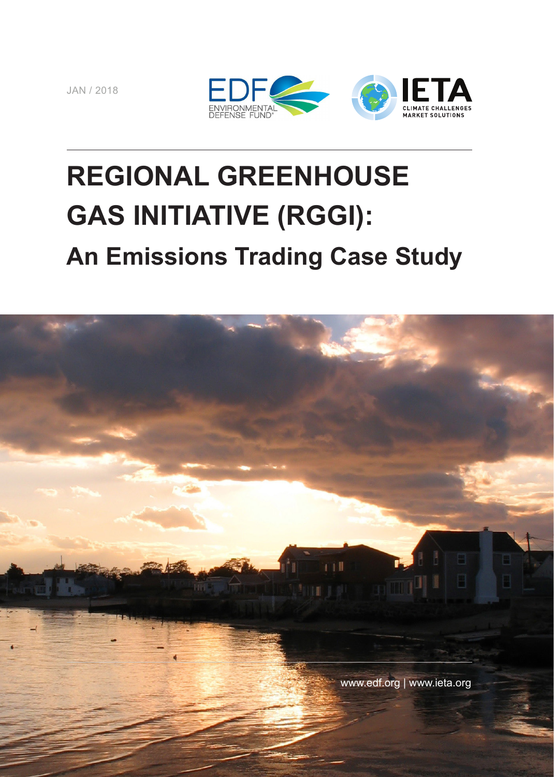JAN / 2018



# **REGIONAL GREENHOUSE GAS INITIATIVE (RGGI): An Emissions Trading Case Study**

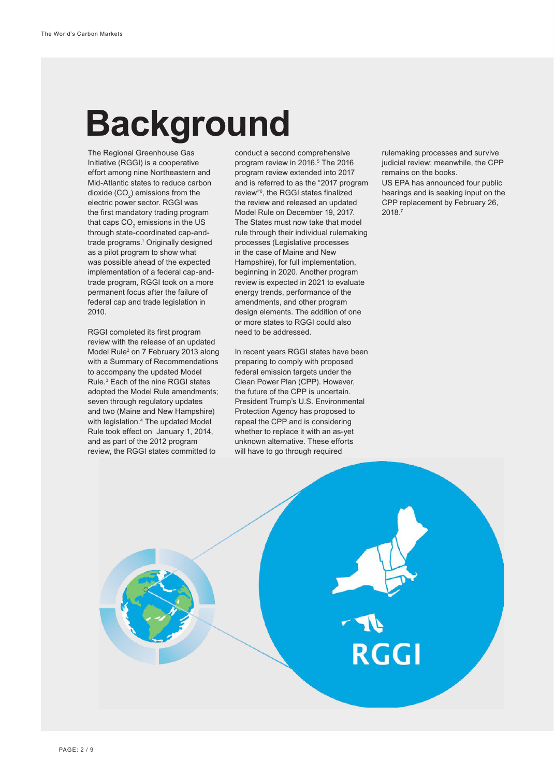# **Background**

The Regional Greenhouse Gas Initiative (RGGI) is a cooperative effort among nine Northeastern and Mid-Atlantic states to reduce carbon dioxide (CO $_{2}$ ) emissions from the electric power sector. RGGI was the first mandatory trading program that caps CO $_{\textrm{\tiny{2}}}$  emissions in the US through state-coordinated cap-andtrade programs.1 Originally designed as a pilot program to show what was possible ahead of the expected implementation of a federal cap-andtrade program, RGGI took on a more permanent focus after the failure of federal cap and trade legislation in 2010.

RGGI completed its first program review with the release of an updated Model Rule<sup>2</sup> on 7 February 2013 along with a Summary of Recommendations to accompany the updated Model Rule.3 Each of the nine RGGI states adopted the Model Rule amendments; seven through regulatory updates and two (Maine and New Hampshire) with legislation.4 The updated Model Rule took effect on January 1, 2014, and as part of the 2012 program review, the RGGI states committed to

conduct a second comprehensive program review in 2016.<sup>5</sup> The 2016 program review extended into 2017 and is referred to as the "2017 program review"6, the RGGI states finalized the review and released an updated Model Rule on December 19, 2017. The States must now take that model rule through their individual rulemaking processes (Legislative processes in the case of Maine and New Hampshire), for full implementation, beginning in 2020. Another program review is expected in 2021 to evaluate energy trends, performance of the amendments, and other program design elements. The addition of one or more states to RGGI could also need to be addressed.

In recent years RGGI states have been preparing to comply with proposed federal emission targets under the Clean Power Plan (CPP). However, the future of the CPP is uncertain. President Trump's U.S. Environmental Protection Agency has proposed to repeal the CPP and is considering whether to replace it with an as-yet unknown alternative. These efforts will have to go through required

rulemaking processes and survive judicial review; meanwhile, the CPP remains on the books.

US EPA has announced four public hearings and is seeking input on the CPP replacement by February 26, 2018.7

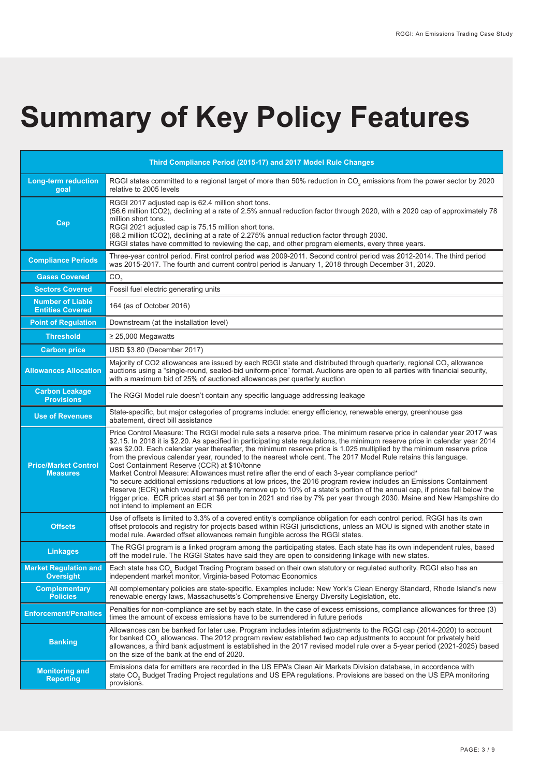# **Summary of Key Policy Features**

| Third Compliance Period (2015-17) and 2017 Model Rule Changes |                                                                                                                                                                                                                                                                                                                                                                                                                                                                                                                                                                                                                                                                                                                                                                                                                                                                                                                                                                                                                                                                    |
|---------------------------------------------------------------|--------------------------------------------------------------------------------------------------------------------------------------------------------------------------------------------------------------------------------------------------------------------------------------------------------------------------------------------------------------------------------------------------------------------------------------------------------------------------------------------------------------------------------------------------------------------------------------------------------------------------------------------------------------------------------------------------------------------------------------------------------------------------------------------------------------------------------------------------------------------------------------------------------------------------------------------------------------------------------------------------------------------------------------------------------------------|
| Long-term reduction<br>goal                                   | RGGI states committed to a regional target of more than 50% reduction in CO <sub>2</sub> emissions from the power sector by 2020<br>relative to 2005 levels                                                                                                                                                                                                                                                                                                                                                                                                                                                                                                                                                                                                                                                                                                                                                                                                                                                                                                        |
| Cap                                                           | RGGI 2017 adjusted cap is 62.4 million short tons.<br>(56.6 million tCO2), declining at a rate of 2.5% annual reduction factor through 2020, with a 2020 cap of approximately 78<br>million short tons.<br>RGGI 2021 adjusted cap is 75.15 million short tons.<br>(68.2 million tCO2), declining at a rate of 2.275% annual reduction factor through 2030.<br>RGGI states have committed to reviewing the cap, and other program elements, every three years.                                                                                                                                                                                                                                                                                                                                                                                                                                                                                                                                                                                                      |
| <b>Compliance Periods</b>                                     | Three-year control period. First control period was 2009-2011. Second control period was 2012-2014. The third period<br>was 2015-2017. The fourth and current control period is January 1, 2018 through December 31, 2020.                                                                                                                                                                                                                                                                                                                                                                                                                                                                                                                                                                                                                                                                                                                                                                                                                                         |
| <b>Gases Covered</b>                                          | CO <sub>2</sub>                                                                                                                                                                                                                                                                                                                                                                                                                                                                                                                                                                                                                                                                                                                                                                                                                                                                                                                                                                                                                                                    |
| <b>Sectors Covered</b>                                        | Fossil fuel electric generating units                                                                                                                                                                                                                                                                                                                                                                                                                                                                                                                                                                                                                                                                                                                                                                                                                                                                                                                                                                                                                              |
| <b>Number of Liable</b><br><b>Entities Covered</b>            | 164 (as of October 2016)                                                                                                                                                                                                                                                                                                                                                                                                                                                                                                                                                                                                                                                                                                                                                                                                                                                                                                                                                                                                                                           |
| <b>Point of Regulation</b>                                    | Downstream (at the installation level)                                                                                                                                                                                                                                                                                                                                                                                                                                                                                                                                                                                                                                                                                                                                                                                                                                                                                                                                                                                                                             |
| <b>Threshold</b>                                              | $\geq$ 25,000 Megawatts                                                                                                                                                                                                                                                                                                                                                                                                                                                                                                                                                                                                                                                                                                                                                                                                                                                                                                                                                                                                                                            |
| <b>Carbon price</b>                                           | USD \$3.80 (December 2017)                                                                                                                                                                                                                                                                                                                                                                                                                                                                                                                                                                                                                                                                                                                                                                                                                                                                                                                                                                                                                                         |
| <b>Allowances Allocation</b>                                  | Majority of CO2 allowances are issued by each RGGI state and distributed through quarterly, regional CO <sub>2</sub> allowance<br>auctions using a "single-round, sealed-bid uniform-price" format. Auctions are open to all parties with financial security,<br>with a maximum bid of 25% of auctioned allowances per quarterly auction                                                                                                                                                                                                                                                                                                                                                                                                                                                                                                                                                                                                                                                                                                                           |
| <b>Carbon Leakage</b><br><b>Provisions</b>                    | The RGGI Model rule doesn't contain any specific language addressing leakage                                                                                                                                                                                                                                                                                                                                                                                                                                                                                                                                                                                                                                                                                                                                                                                                                                                                                                                                                                                       |
| <b>Use of Revenues</b>                                        | State-specific, but major categories of programs include: energy efficiency, renewable energy, greenhouse gas<br>abatement, direct bill assistance                                                                                                                                                                                                                                                                                                                                                                                                                                                                                                                                                                                                                                                                                                                                                                                                                                                                                                                 |
| <b>Price/Market Control</b><br><b>Measures</b>                | Price Control Measure: The RGGI model rule sets a reserve price. The minimum reserve price in calendar year 2017 was<br>\$2.15. In 2018 it is \$2.20. As specified in participating state regulations, the minimum reserve price in calendar year 2014<br>was \$2.00. Each calendar year thereafter, the minimum reserve price is 1.025 multiplied by the minimum reserve price<br>from the previous calendar year, rounded to the nearest whole cent. The 2017 Model Rule retains this language.<br>Cost Containment Reserve (CCR) at \$10/tonne<br>Market Control Measure: Allowances must retire after the end of each 3-year compliance period*<br>*to secure additional emissions reductions at low prices, the 2016 program review includes an Emissions Containment<br>Reserve (ECR) which would permanently remove up to 10% of a state's portion of the annual cap, if prices fall below the<br>trigger price. ECR prices start at \$6 per ton in 2021 and rise by 7% per year through 2030. Maine and New Hampshire do<br>not intend to implement an ECR |
| <b>Offsets</b>                                                | Use of offsets is limited to 3.3% of a covered entity's compliance obligation for each control period. RGGI has its own<br>offset protocols and registry for projects based within RGGI jurisdictions, unless an MOU is signed with another state in<br>model rule. Awarded offset allowances remain fungible across the RGGI states.                                                                                                                                                                                                                                                                                                                                                                                                                                                                                                                                                                                                                                                                                                                              |
| <b>Linkages</b>                                               | The RGGI program is a linked program among the participating states. Each state has its own independent rules, based<br>off the model rule. The RGGI States have said they are open to considering linkage with new states.                                                                                                                                                                                                                                                                                                                                                                                                                                                                                                                                                                                                                                                                                                                                                                                                                                        |
| <b>Market Regulation and</b><br><b>Oversight</b>              | Each state has CO <sub>2</sub> Budget Trading Program based on their own statutory or regulated authority. RGGI also has an<br>independent market monitor, Virginia-based Potomac Economics                                                                                                                                                                                                                                                                                                                                                                                                                                                                                                                                                                                                                                                                                                                                                                                                                                                                        |
| <b>Complementary</b><br><b>Policies</b>                       | All complementary policies are state-specific. Examples include: New York's Clean Energy Standard, Rhode Island's new<br>renewable energy laws, Massachusetts's Comprehensive Energy Diversity Legislation, etc.                                                                                                                                                                                                                                                                                                                                                                                                                                                                                                                                                                                                                                                                                                                                                                                                                                                   |
| <b>Enforcement/Penalties</b>                                  | Penalties for non-compliance are set by each state. In the case of excess emissions, compliance allowances for three (3)<br>times the amount of excess emissions have to be surrendered in future periods                                                                                                                                                                                                                                                                                                                                                                                                                                                                                                                                                                                                                                                                                                                                                                                                                                                          |
| <b>Banking</b>                                                | Allowances can be banked for later use. Program includes interim adjustments to the RGGI cap (2014-2020) to account<br>for banked CO <sub>2</sub> allowances. The 2012 program review established two cap adjustments to account for privately held<br>allowances, a third bank adjustment is established in the 2017 revised model rule over a 5-year period (2021-2025) based<br>on the size of the bank at the end of 2020.                                                                                                                                                                                                                                                                                                                                                                                                                                                                                                                                                                                                                                     |
| <b>Monitoring and</b><br><b>Reporting</b>                     | Emissions data for emitters are recorded in the US EPA's Clean Air Markets Division database, in accordance with<br>state CO <sub>2</sub> Budget Trading Project regulations and US EPA regulations. Provisions are based on the US EPA monitoring<br>provisions.                                                                                                                                                                                                                                                                                                                                                                                                                                                                                                                                                                                                                                                                                                                                                                                                  |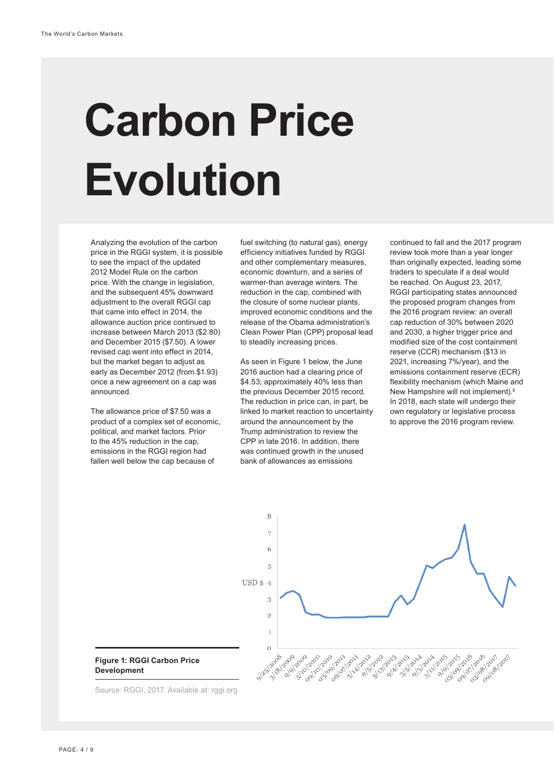# **Carbon Price Evolution**

Analyzing the evolution of the carbon price in the RGGI system, it is possible to see the impact of the updated 2012 Model Rule on the carbon price. With the change in legislation, and the subsequent 45% downward adjustment to the overall RGGI cap that came into effect in 2014, the allowance auction price continued to increase between March 2013 (\$2.80) and December 2015 (\$7.50). A lower revised cap went into effect in 2014, but the market began to adjust as early as December 2012 (from \$1.93) once a new agreement on a cap was announced.

The allowance price of \$7.50 was a product of a complex set of economic, political, and market factors. Prior to the 45% reduction in the cap, emissions in the RGGI region had fallen well below the cap because of

fuel switching (to natural gas), energy efficiency initiatives funded by RGGI and other complementary measures, economic downturn, and a series of warmer-than average winters. The reduction in the cap, combined with the closure of some nuclear plants, improved economic conditions and the release of the Obama administration's Clean Power Plan (CPP) proposal lead to steadily increasing prices.

As seen in Figure 1 below, the June 2016 auction had a clearing price of \$4.53; approximately 40% less than the previous December 2015 record. The reduction in price can, in part, be linked to market reaction to uncertainty around the announcement by the Trump administration to review the CPP in late 2016. In addition, there was continued growth in the unused bank of allowances as emissions

continued to fall and the 2017 program review took more than a year longer than originally expected, leading some traders to speculate if a deal would be reached. On August 23, 2017, RGGI participating states announced the proposed program changes from the 2016 program review: an overall cap reduction of 30% between 2020 and 2030, a higher trigger price and modified size of the cost containment reserve (CCR) mechanism (\$13 in 2021, increasing 7%/year), and the emissions containment reserve (ECR) flexibility mechanism (which Maine and New Hampshire will not implement).8 In 2018, each state will undergo their own regulatory or legislative process to approve the 2016 program review.

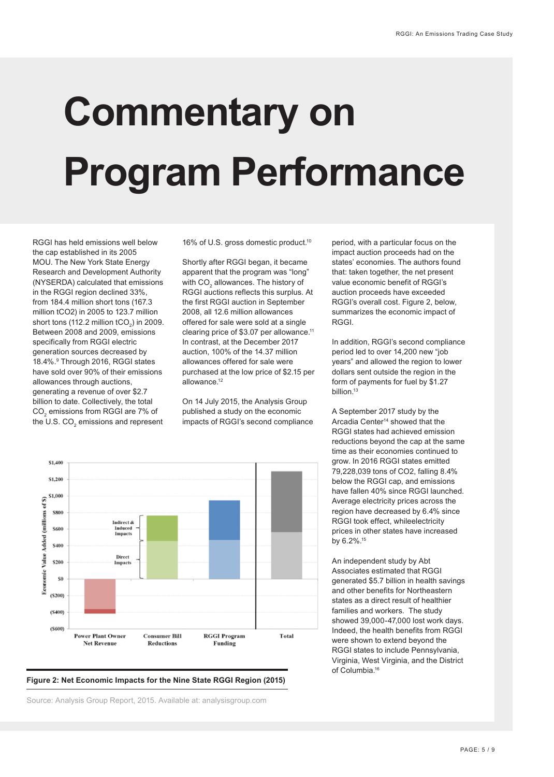# **Commentary on Program Performance**

RGGI has held emissions well below the cap established in its 2005 MOU. The New York State Energy Research and Development Authority (NYSERDA) calculated that emissions in the RGGI region declined 33%, from 184.4 million short tons (167.3 million tCO2) in 2005 to 123.7 million short tons (112.2 million tCO $_2$ ) in 2009. Between 2008 and 2009, emissions specifically from RGGI electric generation sources decreased by 18.4%.9 Through 2016, RGGI states have sold over 90% of their emissions allowances through auctions, generating a revenue of over \$2.7 billion to date. Collectively, the total CO $_{\tiny 2}$  emissions from RGGI are 7% of the U.S. CO $_2$  emissions and represent

16% of U.S. gross domestic product.<sup>10</sup>

Shortly after RGGI began, it became apparent that the program was "long" with CO $_{\tiny 2}$  allowances. The history of RGGI auctions reflects this surplus. At the first RGGI auction in September 2008, all 12.6 million allowances offered for sale were sold at a single clearing price of \$3.07 per allowance.<sup>11</sup> In contrast, at the December 2017 auction, 100% of the 14.37 million allowances offered for sale were purchased at the low price of \$2.15 per allowance.12

On 14 July 2015, the Analysis Group published a study on the economic impacts of RGGI's second compliance



#### **Figure 2: Net Economic Impacts for the Nine State RGGI Region (2015)**

Source: Analysis Group Report, 2015. Available at: analysisgroup.com

period, with a particular focus on the impact auction proceeds had on the states' economies. The authors found that: taken together, the net present value economic benefit of RGGI's auction proceeds have exceeded RGGI's overall cost. Figure 2, below, summarizes the economic impact of RGGI.

In addition, RGGI's second compliance period led to over 14,200 new "job years" and allowed the region to lower dollars sent outside the region in the form of payments for fuel by \$1.27 billion.<sup>13</sup>

A September 2017 study by the Arcadia Center<sup>14</sup> showed that the RGGI states had achieved emission reductions beyond the cap at the same time as their economies continued to grow. In 2016 RGGI states emitted 79,228,039 tons of CO2, falling 8.4% below the RGGI cap, and emissions have fallen 40% since RGGI launched. Average electricity prices across the region have decreased by 6.4% since RGGI took effect, whileelectricity prices in other states have increased by 6.2%.15

An independent study by Abt Associates estimated that RGGI generated \$5.7 billion in health savings and other benefits for Northeastern states as a direct result of healthier families and workers. The study showed 39,000-47,000 lost work days. Indeed, the health benefits from RGGI were shown to extend beyond the RGGI states to include Pennsylvania, Virginia, West Virginia, and the District of Columbia.16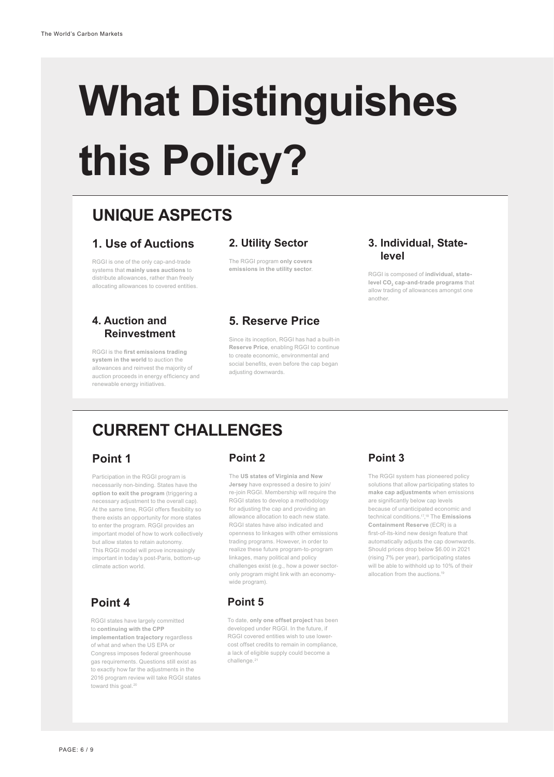# **What Distinguishes this Policy?**

# **UNIQUE ASPECTS**

### **1. Use of Auctions**

RGGI is one of the only cap-and-trade systems that **mainly uses auctions** to distribute allowances, rather than freely allocating allowances to covered entities.

#### **4. Auction and Reinvestment**

RGGI is the **first emissions trading system in the world** to auction the allowances and reinvest the majority of auction proceeds in energy efficiency and renewable energy initiatives.

#### **2. Utility Sector**

The RGGI program **only covers emissions in the utility sector**.

### **5. Reserve Price**

Since its inception, RGGI has had a built-in **Reserve Price**, enabling RGGI to continue to create economic, environmental and social benefits, even before the cap began adjusting downwards.

#### **3. Individual, State level**

RGGI is composed of **individual, statelevel CO<sub>2</sub> cap-and-trade programs** that allow trading of allowances amongst one another.

## **CURRENT CHALLENGES**

### **Point 1**

Participation in the RGGI program is necessarily non-binding. States have the **option to exit the program** (triggering a necessary adjustment to the overall cap). At the same time, RGGI offers flexibility so there exists an opportunity for more states to enter the program. RGGI provides an important model of how to work collectively but allow states to retain autonomy. This RGGI model will prove increasingly important in today's post-Paris, bottom-up climate action world.

## **Point 4**

RGGI states have largely committed to **continuing with the CPP implementation trajectory** regardless of what and when the US EPA or Congress imposes federal greenhouse gas requirements. Questions still exist as to exactly how far the adjustments in the 2016 program review will take RGGI states toward this goal.<sup>20</sup>

### **Point 2**

The **US states of Virginia and New Jersey** have expressed a desire to join/ re-join RGGI. Membership will require the RGGI states to develop a methodology for adjusting the cap and providing an allowance allocation to each new state. RGGI states have also indicated and openness to linkages with other emissions trading programs. However, in order to realize these future program-to-program linkages, many political and policy challenges exist (e.g., how a power sectoronly program might link with an economywide program).

## **Point 5**

To date, **only one offset project** has been developed under RGGI. In the future, if RGGI covered entities wish to use lowercost offset credits to remain in compliance, a lack of eligible supply could become a challenge.<sup>21</sup>

## **Point 3**

The RGGI system has pioneered policy solutions that allow participating states to **make cap adjustments** when emissions are significantly below cap levels because of unanticipated economic and technical conditions.17, 18 The **Emissions Containment Reserve** (ECR) is a first-of-its-kind new design feature that automatically adjusts the cap downwards. Should prices drop below \$6.00 in 2021 (rising 7% per year), participating states will be able to withhold up to 10% of their allocation from the auctions.<sup>19</sup>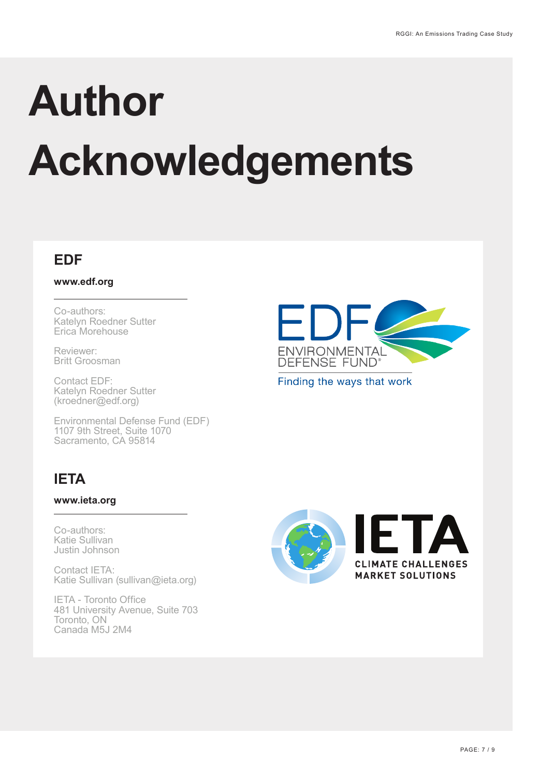# **Author Acknowledgements**

## **EDF**

**www.edf.org**

Co-authors: Katelyn Roedner Sutter Erica Morehouse

Reviewer: Britt Groosman

Contact EDF: Katelyn Roedner Sutter (kroedner@edf.org)

Environmental Defense Fund (EDF) 1107 9th Street, Suite 1070 Sacramento, CA 95814

# **IETA**

### **www.ieta.org**

Co-authors: Katie Sullivan Justin Johnson

Contact IETA: Katie Sullivan (sullivan@ieta.org)

IETA - Toronto Office 481 University Avenue, Suite 703 Toronto, ON Canada M5J 2M4



Finding the ways that work

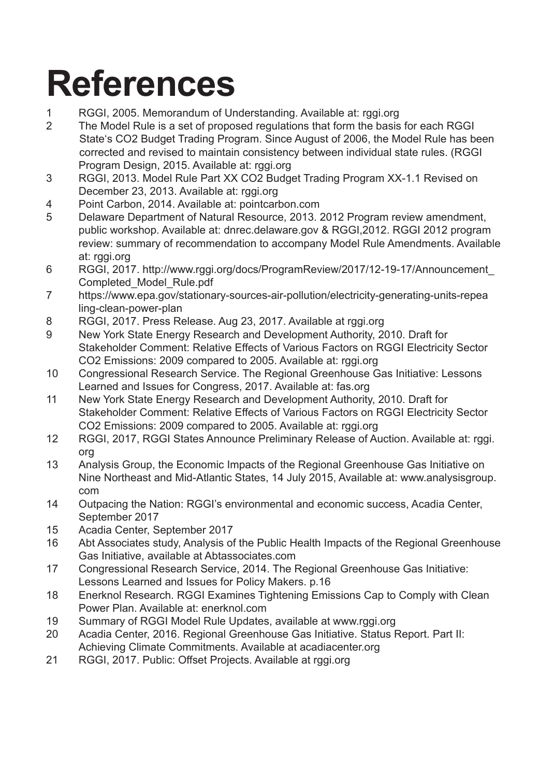# **References**

- 1 RGGI, 2005. Memorandum of Understanding. Available at: rggi.org
- 2 The Model Rule is a set of proposed regulations that form the basis for each RGGI State's CO2 Budget Trading Program. Since August of 2006, the Model Rule has been corrected and revised to maintain consistency between individual state rules. (RGGI Program Design, 2015. Available at: rggi.org
- 3 RGGI, 2013. Model Rule Part XX CO2 Budget Trading Program XX-1.1 Revised on December 23, 2013. Available at: rggi.org
- 4 Point Carbon, 2014. Available at: pointcarbon.com
- 5 Delaware Department of Natural Resource, 2013. 2012 Program review amendment, public workshop. Available at: dnrec.delaware.gov & RGGI,2012. RGGI 2012 program review: summary of recommendation to accompany Model Rule Amendments. Available at: rggi.org
- 6 RGGI, 2017. http://www.rggi.org/docs/ProgramReview/2017/12-19-17/Announcement\_ Completed\_Model\_Rule.pdf
- 7 https://www.epa.gov/stationary-sources-air-pollution/electricity-generating-units-repea ling-clean-power-plan
- 8 RGGI, 2017. Press Release. Aug 23, 2017. Available at rggi.org
- 9 New York State Energy Research and Development Authority, 2010. Draft for Stakeholder Comment: Relative Effects of Various Factors on RGGI Electricity Sector CO2 Emissions: 2009 compared to 2005. Available at: rggi.org
- 10 Congressional Research Service. The Regional Greenhouse Gas Initiative: Lessons Learned and Issues for Congress, 2017. Available at: fas.org
- 11 New York State Energy Research and Development Authority, 2010. Draft for Stakeholder Comment: Relative Effects of Various Factors on RGGI Electricity Sector CO2 Emissions: 2009 compared to 2005. Available at: rggi.org
- 12 RGGI, 2017, RGGI States Announce Preliminary Release of Auction. Available at: rggi. org
- 13 Analysis Group, the Economic Impacts of the Regional Greenhouse Gas Initiative on Nine Northeast and Mid-Atlantic States, 14 July 2015, Available at: www.analysisgroup. com
- 14 Outpacing the Nation: RGGI's environmental and economic success, Acadia Center, September 2017
- 15 Acadia Center, September 2017
- 16 Abt Associates study, Analysis of the Public Health Impacts of the Regional Greenhouse Gas Initiative, available at Abtassociates.com
- 17 Congressional Research Service, 2014. The Regional Greenhouse Gas Initiative: Lessons Learned and Issues for Policy Makers. p.16
- 18 Enerknol Research. RGGI Examines Tightening Emissions Cap to Comply with Clean Power Plan. Available at: enerknol.com
- 19 Summary of RGGI Model Rule Updates, available at www.rggi.org
- 20 Acadia Center, 2016. Regional Greenhouse Gas Initiative. Status Report. Part II: Achieving Climate Commitments. Available at acadiacenter.org
- 21 RGGI, 2017. Public: Offset Projects. Available at rggi.org